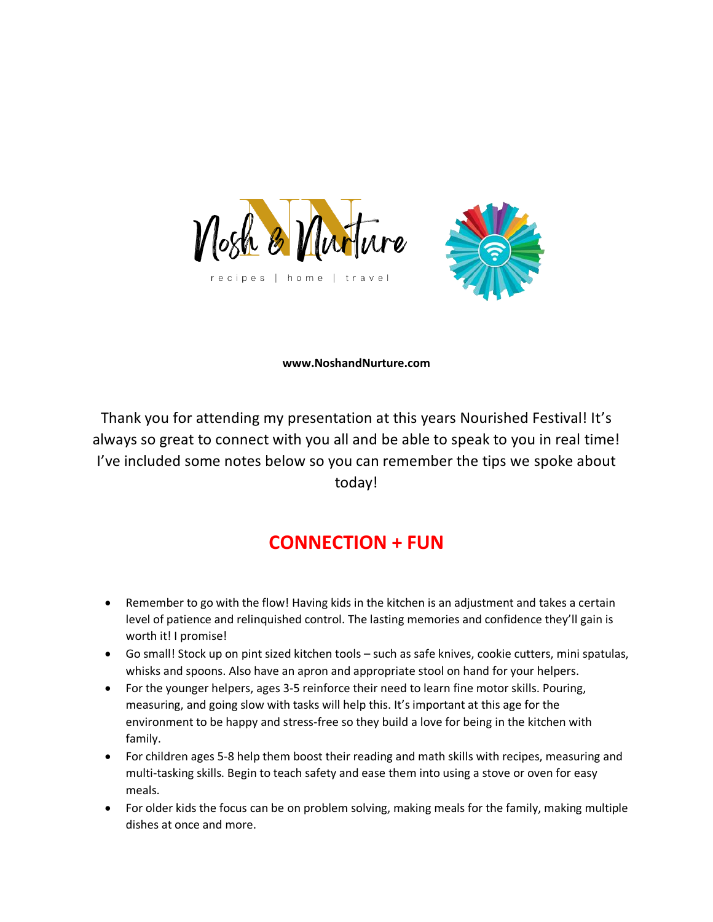



## **www.NoshandNurture.com**

Thank you for attending my presentation at this years Nourished Festival! It's always so great to connect with you all and be able to speak to you in real time! I've included some notes below so you can remember the tips we spoke about today!

## **CONNECTION + FUN**

- Remember to go with the flow! Having kids in the kitchen is an adjustment and takes a certain level of patience and relinquished control. The lasting memories and confidence they'll gain is worth it! I promise!
- Go small! Stock up on pint sized kitchen tools such as safe knives, cookie cutters, mini spatulas, whisks and spoons. Also have an apron and appropriate stool on hand for your helpers.
- For the younger helpers, ages 3-5 reinforce their need to learn fine motor skills. Pouring, measuring, and going slow with tasks will help this. It's important at this age for the environment to be happy and stress-free so they build a love for being in the kitchen with family.
- For children ages 5-8 help them boost their reading and math skills with recipes, measuring and multi-tasking skills. Begin to teach safety and ease them into using a stove or oven for easy meals.
- For older kids the focus can be on problem solving, making meals for the family, making multiple dishes at once and more.